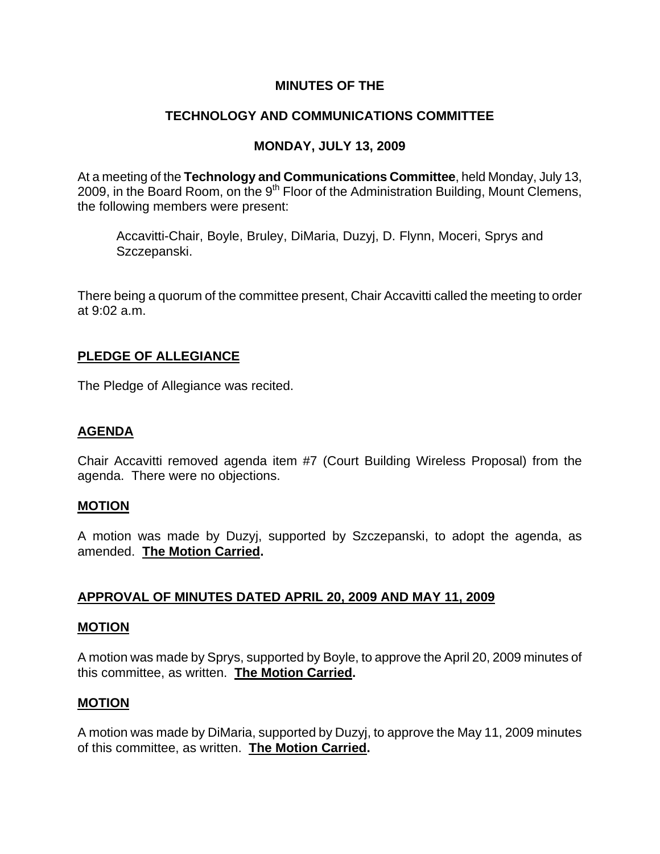# **MINUTES OF THE**

# **TECHNOLOGY AND COMMUNICATIONS COMMITTEE**

# **MONDAY, JULY 13, 2009**

At a meeting of the **Technology and Communications Committee**, held Monday, July 13, 2009, in the Board Room, on the  $9<sup>th</sup>$  Floor of the Administration Building, Mount Clemens, the following members were present:

Accavitti-Chair, Boyle, Bruley, DiMaria, Duzyj, D. Flynn, Moceri, Sprys and Szczepanski.

There being a quorum of the committee present, Chair Accavitti called the meeting to order at 9:02 a.m.

# **PLEDGE OF ALLEGIANCE**

The Pledge of Allegiance was recited.

# **AGENDA**

Chair Accavitti removed agenda item #7 (Court Building Wireless Proposal) from the agenda. There were no objections.

# **MOTION**

A motion was made by Duzyj, supported by Szczepanski, to adopt the agenda, as amended. **The Motion Carried.** 

# **APPROVAL OF MINUTES DATED APRIL 20, 2009 AND MAY 11, 2009**

## **MOTION**

A motion was made by Sprys, supported by Boyle, to approve the April 20, 2009 minutes of this committee, as written. **The Motion Carried.** 

## **MOTION**

A motion was made by DiMaria, supported by Duzyj, to approve the May 11, 2009 minutes of this committee, as written. **The Motion Carried.**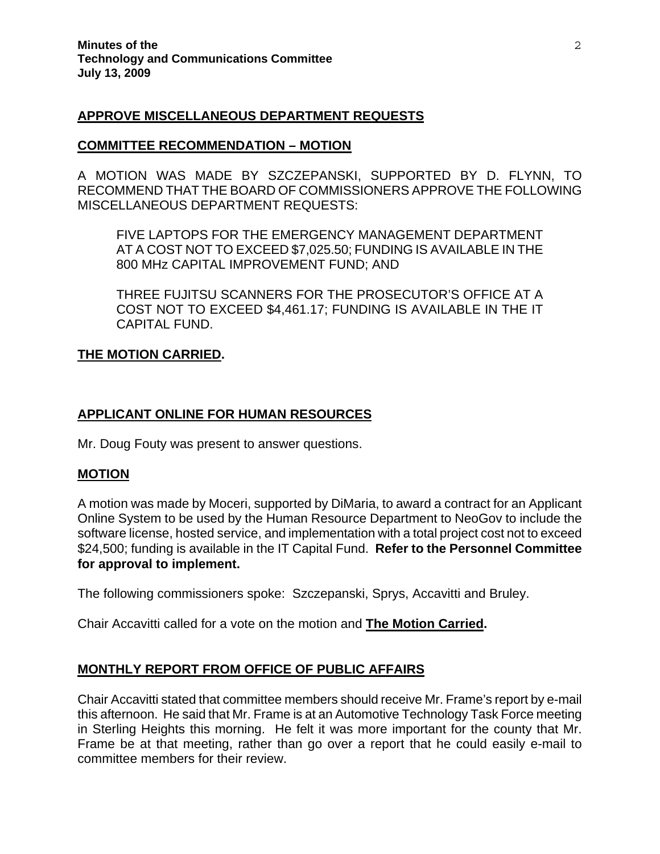## **APPROVE MISCELLANEOUS DEPARTMENT REQUESTS**

## **COMMITTEE RECOMMENDATION – MOTION**

A MOTION WAS MADE BY SZCZEPANSKI, SUPPORTED BY D. FLYNN, TO RECOMMEND THAT THE BOARD OF COMMISSIONERS APPROVE THE FOLLOWING MISCELLANEOUS DEPARTMENT REQUESTS:

FIVE LAPTOPS FOR THE EMERGENCY MANAGEMENT DEPARTMENT AT A COST NOT TO EXCEED \$7,025.50; FUNDING IS AVAILABLE IN THE 800 MHz CAPITAL IMPROVEMENT FUND; AND

THREE FUJITSU SCANNERS FOR THE PROSECUTOR'S OFFICE AT A COST NOT TO EXCEED \$4,461.17; FUNDING IS AVAILABLE IN THE IT CAPITAL FUND.

## **THE MOTION CARRIED.**

## **APPLICANT ONLINE FOR HUMAN RESOURCES**

Mr. Doug Fouty was present to answer questions.

## **MOTION**

A motion was made by Moceri, supported by DiMaria, to award a contract for an Applicant Online System to be used by the Human Resource Department to NeoGov to include the software license, hosted service, and implementation with a total project cost not to exceed \$24,500; funding is available in the IT Capital Fund. **Refer to the Personnel Committee for approval to implement.** 

The following commissioners spoke: Szczepanski, Sprys, Accavitti and Bruley.

Chair Accavitti called for a vote on the motion and **The Motion Carried.** 

# **MONTHLY REPORT FROM OFFICE OF PUBLIC AFFAIRS**

Chair Accavitti stated that committee members should receive Mr. Frame's report by e-mail this afternoon. He said that Mr. Frame is at an Automotive Technology Task Force meeting in Sterling Heights this morning. He felt it was more important for the county that Mr. Frame be at that meeting, rather than go over a report that he could easily e-mail to committee members for their review.